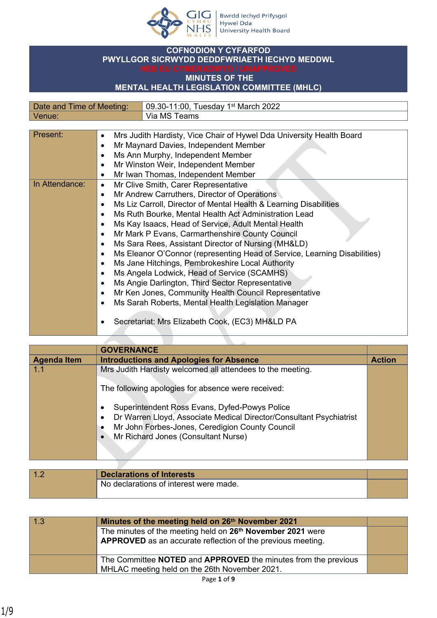

## **COFNODION Y CYFARFOD PWYLLGOR SICRWYDD DEDDFWRIAETH IECHYD MEDDWL**

## **MINUTES OF THE**

## **MENTAL HEALTH LEGISLATION COMMITTEE (MHLC)**

| Date and Time of Meeting: | 09.30-11:00, Tuesday 1 <sup>st</sup> March 2022 |
|---------------------------|-------------------------------------------------|
| Venue <sup>-</sup>        | ์ Via MS Teams                                  |

| Present:       | Mrs Judith Hardisty, Vice Chair of Hywel Dda University Health Board<br>$\bullet$      |
|----------------|----------------------------------------------------------------------------------------|
|                | Mr Maynard Davies, Independent Member<br>$\bullet$                                     |
|                | Ms Ann Murphy, Independent Member<br>$\bullet$                                         |
|                | Mr Winston Weir, Independent Member<br>$\bullet$                                       |
|                | Mr Iwan Thomas, Independent Member<br>$\bullet$                                        |
| In Attendance: | Mr Clive Smith, Carer Representative<br>$\bullet$                                      |
|                | Mr Andrew Carruthers, Director of Operations<br>$\bullet$                              |
|                | Ms Liz Carroll, Director of Mental Health & Learning Disabilities<br>$\bullet$         |
|                | Ms Ruth Bourke, Mental Health Act Administration Lead<br>$\bullet$                     |
|                | Ms Kay Isaacs, Head of Service, Adult Mental Health<br>$\bullet$                       |
|                | Mr Mark P Evans, Carmarthenshire County Council<br>$\bullet$                           |
|                | Ms Sara Rees, Assistant Director of Nursing (MH&LD)<br>$\bullet$                       |
|                | Ms Eleanor O'Connor (representing Head of Service, Learning Disabilities)<br>$\bullet$ |
|                | Ms Jane Hitchings, Pembrokeshire Local Authority<br>$\bullet$                          |
|                | Ms Angela Lodwick, Head of Service (SCAMHS)<br>$\bullet$                               |
|                | Ms Angie Darlington, Third Sector Representative<br>$\bullet$                          |
|                | Mr Ken Jones, Community Health Council Representative<br>$\bullet$                     |
|                | Ms Sarah Roberts, Mental Health Legislation Manager<br>$\bullet$                       |
|                | Secretariat: Mrs Elizabeth Cook, (EC3) MH&LD PA                                        |

|                    | <b>GOVERNANCE</b>                                                                |               |
|--------------------|----------------------------------------------------------------------------------|---------------|
| <b>Agenda Item</b> | <b>Introductions and Apologies for Absence</b>                                   | <b>Action</b> |
| 11                 | Mrs Judith Hardisty welcomed all attendees to the meeting.                       |               |
|                    | The following apologies for absence were received:                               |               |
|                    | Superintendent Ross Evans, Dyfed-Powys Police<br>$\bullet$                       |               |
|                    | Dr Warren Lloyd, Associate Medical Director/Consultant Psychiatrist<br>$\bullet$ |               |
|                    | Mr John Forbes-Jones, Ceredigion County Council<br>٠                             |               |
|                    | Mr Richard Jones (Consultant Nurse)<br>$\bullet$                                 |               |
|                    |                                                                                  |               |

<u> The Common State State State State State State State State State State State State State State State State State State State State State State State State State State State State State State State State State State State</u>

| $\sim$ | <b>Declarations of Interests</b>       |  |
|--------|----------------------------------------|--|
|        | No declarations of interest were made. |  |

| 1.3 | Minutes of the meeting held on 26 <sup>th</sup> November 2021          |  |
|-----|------------------------------------------------------------------------|--|
|     | The minutes of the meeting held on 26 <sup>th</sup> November 2021 were |  |
|     | APPROVED as an accurate reflection of the previous meeting.            |  |
|     | The Committee NOTED and APPROVED the minutes from the previous         |  |
|     | MHLAC meeting held on the 26th November 2021.                          |  |
|     | .                                                                      |  |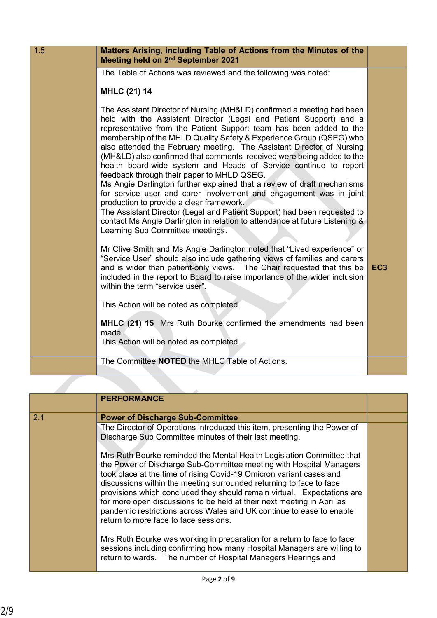| 1.5 | Matters Arising, including Table of Actions from the Minutes of the<br>Meeting held on 2 <sup>nd</sup> September 2021                                                                                                                                                                                                                                                                                                                                                                                                                                                                                                                                                                                                                                                                                                                                                                                                                                     |                 |
|-----|-----------------------------------------------------------------------------------------------------------------------------------------------------------------------------------------------------------------------------------------------------------------------------------------------------------------------------------------------------------------------------------------------------------------------------------------------------------------------------------------------------------------------------------------------------------------------------------------------------------------------------------------------------------------------------------------------------------------------------------------------------------------------------------------------------------------------------------------------------------------------------------------------------------------------------------------------------------|-----------------|
|     | The Table of Actions was reviewed and the following was noted:                                                                                                                                                                                                                                                                                                                                                                                                                                                                                                                                                                                                                                                                                                                                                                                                                                                                                            |                 |
|     | <b>MHLC (21) 14</b>                                                                                                                                                                                                                                                                                                                                                                                                                                                                                                                                                                                                                                                                                                                                                                                                                                                                                                                                       |                 |
|     | The Assistant Director of Nursing (MH&LD) confirmed a meeting had been<br>held with the Assistant Director (Legal and Patient Support) and a<br>representative from the Patient Support team has been added to the<br>membership of the MHLD Quality Safety & Experience Group (QSEG) who<br>also attended the February meeting. The Assistant Director of Nursing<br>(MH&LD) also confirmed that comments received were being added to the<br>health board-wide system and Heads of Service continue to report<br>feedback through their paper to MHLD QSEG.<br>Ms Angie Darlington further explained that a review of draft mechanisms<br>for service user and carer involvement and engagement was in joint<br>production to provide a clear framework.<br>The Assistant Director (Legal and Patient Support) had been requested to<br>contact Ms Angie Darlington in relation to attendance at future Listening &<br>Learning Sub Committee meetings. |                 |
|     | Mr Clive Smith and Ms Angie Darlington noted that "Lived experience" or<br>"Service User" should also include gathering views of families and carers<br>and is wider than patient-only views. The Chair requested that this be<br>included in the report to Board to raise importance of the wider inclusion<br>within the term "service user".                                                                                                                                                                                                                                                                                                                                                                                                                                                                                                                                                                                                           | EC <sub>3</sub> |
|     | This Action will be noted as completed.                                                                                                                                                                                                                                                                                                                                                                                                                                                                                                                                                                                                                                                                                                                                                                                                                                                                                                                   |                 |
|     | <b>MHLC</b> (21) 15 Mrs Ruth Bourke confirmed the amendments had been<br>made.<br>This Action will be noted as completed.                                                                                                                                                                                                                                                                                                                                                                                                                                                                                                                                                                                                                                                                                                                                                                                                                                 |                 |
|     | The Committee NOTED the MHLC Table of Actions.                                                                                                                                                                                                                                                                                                                                                                                                                                                                                                                                                                                                                                                                                                                                                                                                                                                                                                            |                 |

|     | <b>PERFORMANCE</b>                                                                                                                                                                                                                                                                                                                                                                                                                              |  |
|-----|-------------------------------------------------------------------------------------------------------------------------------------------------------------------------------------------------------------------------------------------------------------------------------------------------------------------------------------------------------------------------------------------------------------------------------------------------|--|
| 2.1 | <b>Power of Discharge Sub-Committee</b>                                                                                                                                                                                                                                                                                                                                                                                                         |  |
|     | The Director of Operations introduced this item, presenting the Power of<br>Discharge Sub Committee minutes of their last meeting.                                                                                                                                                                                                                                                                                                              |  |
|     | Mrs Ruth Bourke reminded the Mental Health Legislation Committee that<br>the Power of Discharge Sub-Committee meeting with Hospital Managers<br>took place at the time of rising Covid-19 Omicron variant cases and<br>discussions within the meeting surrounded returning to face to face<br>provisions which concluded they should remain virtual. Expectations are<br>for more open discussions to be held at their next meeting in April as |  |
|     | pandemic restrictions across Wales and UK continue to ease to enable<br>return to more face to face sessions.                                                                                                                                                                                                                                                                                                                                   |  |
|     | Mrs Ruth Bourke was working in preparation for a return to face to face<br>sessions including confirming how many Hospital Managers are willing to<br>return to wards. The number of Hospital Managers Hearings and                                                                                                                                                                                                                             |  |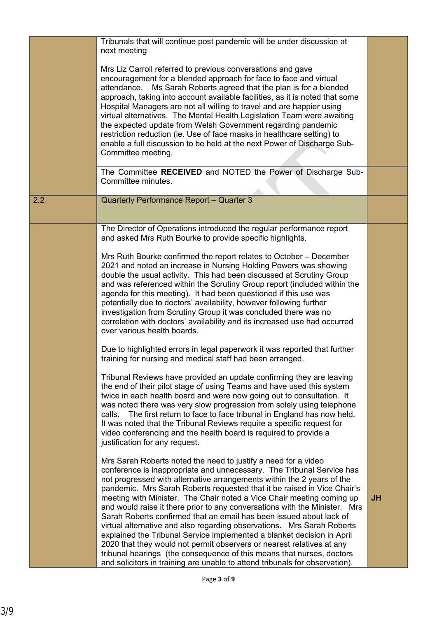|     | Tribunals that will continue post pandemic will be under discussion at<br>next meeting                                                                                                                                                                                                                                                                                                                                                                                                                                                                                                                                                                                                                                                                                                                                                                                                                          |           |
|-----|-----------------------------------------------------------------------------------------------------------------------------------------------------------------------------------------------------------------------------------------------------------------------------------------------------------------------------------------------------------------------------------------------------------------------------------------------------------------------------------------------------------------------------------------------------------------------------------------------------------------------------------------------------------------------------------------------------------------------------------------------------------------------------------------------------------------------------------------------------------------------------------------------------------------|-----------|
|     | Mrs Liz Carroll referred to previous conversations and gave<br>encouragement for a blended approach for face to face and virtual<br>attendance.<br>Ms Sarah Roberts agreed that the plan is for a blended<br>approach, taking into account available facilities, as it is noted that some<br>Hospital Managers are not all willing to travel and are happier using<br>virtual alternatives. The Mental Health Legislation Team were awaiting<br>the expected update from Welsh Government regarding pandemic<br>restriction reduction (ie. Use of face masks in healthcare setting) to<br>enable a full discussion to be held at the next Power of Discharge Sub-                                                                                                                                                                                                                                               |           |
|     | Committee meeting.                                                                                                                                                                                                                                                                                                                                                                                                                                                                                                                                                                                                                                                                                                                                                                                                                                                                                              |           |
|     | The Committee RECEIVED and NOTED the Power of Discharge Sub-<br>Committee minutes.                                                                                                                                                                                                                                                                                                                                                                                                                                                                                                                                                                                                                                                                                                                                                                                                                              |           |
| 2.2 | Quarterly Performance Report - Quarter 3                                                                                                                                                                                                                                                                                                                                                                                                                                                                                                                                                                                                                                                                                                                                                                                                                                                                        |           |
|     | The Director of Operations introduced the regular performance report<br>and asked Mrs Ruth Bourke to provide specific highlights.                                                                                                                                                                                                                                                                                                                                                                                                                                                                                                                                                                                                                                                                                                                                                                               |           |
|     | Mrs Ruth Bourke confirmed the report relates to October – December<br>2021 and noted an increase in Nursing Holding Powers was showing<br>double the usual activity. This had been discussed at Scrutiny Group<br>and was referenced within the Scrutiny Group report (included within the<br>agenda for this meeting). It had been questioned if this use was<br>potentially due to doctors' availability, however following further<br>investigation from Scrutiny Group it was concluded there was no<br>correlation with doctors' availability and its increased use had occurred<br>over various health boards.                                                                                                                                                                                                                                                                                            |           |
|     | Due to highlighted errors in legal paperwork it was reported that further<br>training for nursing and medical staff had been arranged.                                                                                                                                                                                                                                                                                                                                                                                                                                                                                                                                                                                                                                                                                                                                                                          |           |
|     | Tribunal Reviews have provided an update confirming they are leaving<br>the end of their pilot stage of using Teams and have used this system<br>twice in each health board and were now going out to consultation. It<br>was noted there was very slow progression from solely using telephone<br>The first return to face to face tribunal in England has now held.<br>calls.<br>It was noted that the Tribunal Reviews require a specific request for<br>video conferencing and the health board is required to provide a<br>justification for any request.                                                                                                                                                                                                                                                                                                                                                  |           |
|     | Mrs Sarah Roberts noted the need to justify a need for a video<br>conference is inappropriate and unnecessary. The Tribunal Service has<br>not progressed with alternative arrangements within the 2 years of the<br>pandemic. Mrs Sarah Roberts requested that it be raised in Vice Chair's<br>meeting with Minister. The Chair noted a Vice Chair meeting coming up<br>and would raise it there prior to any conversations with the Minister. Mrs<br>Sarah Roberts confirmed that an email has been issued about lack of<br>virtual alternative and also regarding observations. Mrs Sarah Roberts<br>explained the Tribunal Service implemented a blanket decision in April<br>2020 that they would not permit observers or nearest relatives at any<br>tribunal hearings (the consequence of this means that nurses, doctors<br>and solicitors in training are unable to attend tribunals for observation). | <b>JH</b> |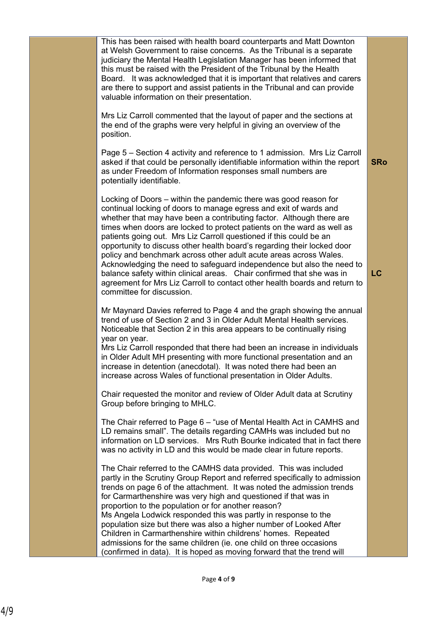| This has been raised with health board counterparts and Matt Downton<br>at Welsh Government to raise concerns. As the Tribunal is a separate<br>judiciary the Mental Health Legislation Manager has been informed that<br>this must be raised with the President of the Tribunal by the Health<br>Board. It was acknowledged that it is important that relatives and carers<br>are there to support and assist patients in the Tribunal and can provide<br>valuable information on their presentation.                                                                                                                                                                                                                                                                     |            |
|----------------------------------------------------------------------------------------------------------------------------------------------------------------------------------------------------------------------------------------------------------------------------------------------------------------------------------------------------------------------------------------------------------------------------------------------------------------------------------------------------------------------------------------------------------------------------------------------------------------------------------------------------------------------------------------------------------------------------------------------------------------------------|------------|
| Mrs Liz Carroll commented that the layout of paper and the sections at<br>the end of the graphs were very helpful in giving an overview of the<br>position.                                                                                                                                                                                                                                                                                                                                                                                                                                                                                                                                                                                                                |            |
| Page 5 – Section 4 activity and reference to 1 admission. Mrs Liz Carroll<br>asked if that could be personally identifiable information within the report<br>as under Freedom of Information responses small numbers are<br>potentially identifiable.                                                                                                                                                                                                                                                                                                                                                                                                                                                                                                                      | <b>SRo</b> |
| Locking of Doors – within the pandemic there was good reason for<br>continual locking of doors to manage egress and exit of wards and<br>whether that may have been a contributing factor. Although there are<br>times when doors are locked to protect patients on the ward as well as<br>patients going out. Mrs Liz Carroll questioned if this could be an<br>opportunity to discuss other health board's regarding their locked door<br>policy and benchmark across other adult acute areas across Wales.<br>Acknowledging the need to safeguard independence but also the need to<br>balance safety within clinical areas. Chair confirmed that she was in<br>agreement for Mrs Liz Carroll to contact other health boards and return to<br>committee for discussion. | LC         |
| Mr Maynard Davies referred to Page 4 and the graph showing the annual<br>trend of use of Section 2 and 3 in Older Adult Mental Health services.<br>Noticeable that Section 2 in this area appears to be continually rising<br>year on year.<br>Mrs Liz Carroll responded that there had been an increase in individuals<br>in Older Adult MH presenting with more functional presentation and an<br>increase in detention (anecdotal). It was noted there had been an<br>increase across Wales of functional presentation in Older Adults.                                                                                                                                                                                                                                 |            |
| Chair requested the monitor and review of Older Adult data at Scrutiny<br>Group before bringing to MHLC.                                                                                                                                                                                                                                                                                                                                                                                                                                                                                                                                                                                                                                                                   |            |
| The Chair referred to Page 6 - "use of Mental Health Act in CAMHS and<br>LD remains small". The details regarding CAMHs was included but no<br>information on LD services. Mrs Ruth Bourke indicated that in fact there<br>was no activity in LD and this would be made clear in future reports.                                                                                                                                                                                                                                                                                                                                                                                                                                                                           |            |
| The Chair referred to the CAMHS data provided. This was included<br>partly in the Scrutiny Group Report and referred specifically to admission<br>trends on page 6 of the attachment. It was noted the admission trends<br>for Carmarthenshire was very high and questioned if that was in<br>proportion to the population or for another reason?<br>Ms Angela Lodwick responded this was partly in response to the<br>population size but there was also a higher number of Looked After                                                                                                                                                                                                                                                                                  |            |
| Children in Carmarthenshire within childrens' homes. Repeated<br>admissions for the same children (ie. one child on three occasions<br>confirmed in data). It is hoped as moving forward that the trend will                                                                                                                                                                                                                                                                                                                                                                                                                                                                                                                                                               |            |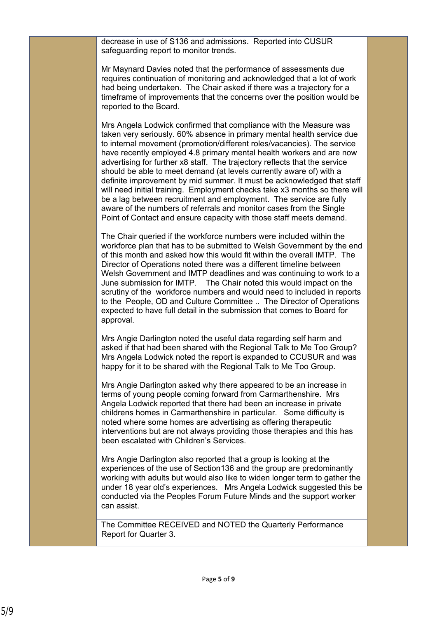decrease in use of S136 and admissions. Reported into CUSUR safeguarding report to monitor trends.

Mr Maynard Davies noted that the performance of assessments due requires continuation of monitoring and acknowledged that a lot of work had being undertaken. The Chair asked if there was a trajectory for a timeframe of improvements that the concerns over the position would be reported to the Board.

Mrs Angela Lodwick confirmed that compliance with the Measure was taken very seriously. 60% absence in primary mental health service due to internal movement (promotion/different roles/vacancies). The service have recently employed 4.8 primary mental health workers and are now advertising for further x8 staff. The trajectory reflects that the service should be able to meet demand (at levels currently aware of) with a definite improvement by mid summer. It must be acknowledged that staff will need initial training. Employment checks take x3 months so there will be a lag between recruitment and employment. The service are fully aware of the numbers of referrals and monitor cases from the Single Point of Contact and ensure capacity with those staff meets demand.

The Chair queried if the workforce numbers were included within the workforce plan that has to be submitted to Welsh Government by the end of this month and asked how this would fit within the overall IMTP. The Director of Operations noted there was a different timeline between Welsh Government and IMTP deadlines and was continuing to work to a June submission for IMTP. The Chair noted this would impact on the scrutiny of the workforce numbers and would need to included in reports to the People, OD and Culture Committee .. The Director of Operations expected to have full detail in the submission that comes to Board for approval.

Mrs Angie Darlington noted the useful data regarding self harm and asked if that had been shared with the Regional Talk to Me Too Group? Mrs Angela Lodwick noted the report is expanded to CCUSUR and was happy for it to be shared with the Regional Talk to Me Too Group.

Mrs Angie Darlington asked why there appeared to be an increase in terms of young people coming forward from Carmarthenshire. Mrs Angela Lodwick reported that there had been an increase in private childrens homes in Carmarthenshire in particular. Some difficulty is noted where some homes are advertising as offering therapeutic interventions but are not always providing those therapies and this has been escalated with Children's Services.

Mrs Angie Darlington also reported that a group is looking at the experiences of the use of Section136 and the group are predominantly working with adults but would also like to widen longer term to gather the under 18 year old's experiences. Mrs Angela Lodwick suggested this be conducted via the Peoples Forum Future Minds and the support worker can assist.

The Committee RECEIVED and NOTED the Quarterly Performance Report for Quarter 3.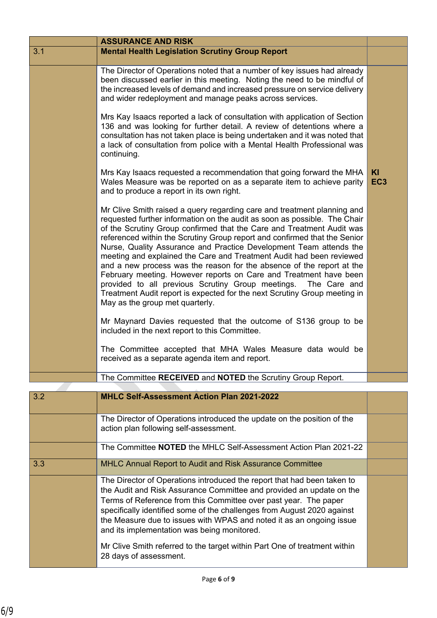|     | <b>ASSURANCE AND RISK</b>                                                                                                                                                                                                                                                                                                                                                                                                                                                                                                                                                                                                                                                                                                                                                                |                       |
|-----|------------------------------------------------------------------------------------------------------------------------------------------------------------------------------------------------------------------------------------------------------------------------------------------------------------------------------------------------------------------------------------------------------------------------------------------------------------------------------------------------------------------------------------------------------------------------------------------------------------------------------------------------------------------------------------------------------------------------------------------------------------------------------------------|-----------------------|
| 3.1 | <b>Mental Health Legislation Scrutiny Group Report</b>                                                                                                                                                                                                                                                                                                                                                                                                                                                                                                                                                                                                                                                                                                                                   |                       |
|     | The Director of Operations noted that a number of key issues had already<br>been discussed earlier in this meeting. Noting the need to be mindful of<br>the increased levels of demand and increased pressure on service delivery<br>and wider redeployment and manage peaks across services.                                                                                                                                                                                                                                                                                                                                                                                                                                                                                            |                       |
|     | Mrs Kay Isaacs reported a lack of consultation with application of Section<br>136 and was looking for further detail. A review of detentions where a<br>consultation has not taken place is being undertaken and it was noted that<br>a lack of consultation from police with a Mental Health Professional was<br>continuing.                                                                                                                                                                                                                                                                                                                                                                                                                                                            |                       |
|     | Mrs Kay Isaacs requested a recommendation that going forward the MHA<br>Wales Measure was be reported on as a separate item to achieve parity<br>and to produce a report in its own right.                                                                                                                                                                                                                                                                                                                                                                                                                                                                                                                                                                                               | KI<br>EC <sub>3</sub> |
|     | Mr Clive Smith raised a query regarding care and treatment planning and<br>requested further information on the audit as soon as possible. The Chair<br>of the Scrutiny Group confirmed that the Care and Treatment Audit was<br>referenced within the Scrutiny Group report and confirmed that the Senior<br>Nurse, Quality Assurance and Practice Development Team attends the<br>meeting and explained the Care and Treatment Audit had been reviewed<br>and a new process was the reason for the absence of the report at the<br>February meeting. However reports on Care and Treatment have been<br>provided to all previous Scrutiny Group meetings. The Care and<br>Treatment Audit report is expected for the next Scrutiny Group meeting in<br>May as the group met quarterly. |                       |
|     | Mr Maynard Davies requested that the outcome of S136 group to be<br>included in the next report to this Committee.                                                                                                                                                                                                                                                                                                                                                                                                                                                                                                                                                                                                                                                                       |                       |
|     | The Committee accepted that MHA Wales Measure data would be<br>received as a separate agenda item and report.                                                                                                                                                                                                                                                                                                                                                                                                                                                                                                                                                                                                                                                                            |                       |
|     | The Committee RECEIVED and NOTED the Scrutiny Group Report.                                                                                                                                                                                                                                                                                                                                                                                                                                                                                                                                                                                                                                                                                                                              |                       |
| 3.2 | MHLC Self-Assessment Action Plan 2021-2022                                                                                                                                                                                                                                                                                                                                                                                                                                                                                                                                                                                                                                                                                                                                               |                       |
|     | The Director of Operations introduced the update on the position of the<br>action plan following self-assessment.                                                                                                                                                                                                                                                                                                                                                                                                                                                                                                                                                                                                                                                                        |                       |
|     | The Committee NOTED the MHLC Self-Assessment Action Plan 2021-22                                                                                                                                                                                                                                                                                                                                                                                                                                                                                                                                                                                                                                                                                                                         |                       |
| 3.3 | <b>MHLC Annual Report to Audit and Risk Assurance Committee</b>                                                                                                                                                                                                                                                                                                                                                                                                                                                                                                                                                                                                                                                                                                                          |                       |
|     | The Director of Operations introduced the report that had been taken to<br>the Audit and Risk Assurance Committee and provided an update on the<br>Terms of Reference from this Committee over past year. The paper<br>specifically identified some of the challenges from August 2020 against<br>the Measure due to issues with WPAS and noted it as an ongoing issue<br>and its implementation was being monitored.                                                                                                                                                                                                                                                                                                                                                                    |                       |
|     | Mr Clive Smith referred to the target within Part One of treatment within<br>28 days of assessment.                                                                                                                                                                                                                                                                                                                                                                                                                                                                                                                                                                                                                                                                                      |                       |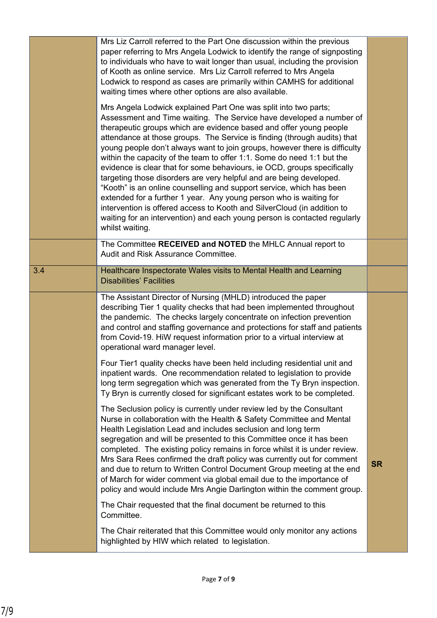|     | Mrs Liz Carroll referred to the Part One discussion within the previous<br>paper referring to Mrs Angela Lodwick to identify the range of signposting<br>to individuals who have to wait longer than usual, including the provision<br>of Kooth as online service. Mrs Liz Carroll referred to Mrs Angela<br>Lodwick to respond as cases are primarily within CAMHS for additional<br>waiting times where other options are also available.                                                                                                                                                                                                                                                                                                                                                                                                                                                                                 |           |
|-----|-----------------------------------------------------------------------------------------------------------------------------------------------------------------------------------------------------------------------------------------------------------------------------------------------------------------------------------------------------------------------------------------------------------------------------------------------------------------------------------------------------------------------------------------------------------------------------------------------------------------------------------------------------------------------------------------------------------------------------------------------------------------------------------------------------------------------------------------------------------------------------------------------------------------------------|-----------|
|     | Mrs Angela Lodwick explained Part One was split into two parts;<br>Assessment and Time waiting. The Service have developed a number of<br>therapeutic groups which are evidence based and offer young people<br>attendance at those groups. The Service is finding (through audits) that<br>young people don't always want to join groups, however there is difficulty<br>within the capacity of the team to offer 1:1. Some do need 1:1 but the<br>evidence is clear that for some behaviours, ie OCD, groups specifically<br>targeting those disorders are very helpful and are being developed.<br>"Kooth" is an online counselling and support service, which has been<br>extended for a further 1 year. Any young person who is waiting for<br>intervention is offered access to Kooth and SilverCloud (in addition to<br>waiting for an intervention) and each young person is contacted regularly<br>whilst waiting. |           |
|     | The Committee RECEIVED and NOTED the MHLC Annual report to<br>Audit and Risk Assurance Committee.                                                                                                                                                                                                                                                                                                                                                                                                                                                                                                                                                                                                                                                                                                                                                                                                                           |           |
| 3.4 | Healthcare Inspectorate Wales visits to Mental Health and Learning<br><b>Disabilities' Facilities</b>                                                                                                                                                                                                                                                                                                                                                                                                                                                                                                                                                                                                                                                                                                                                                                                                                       |           |
|     | The Assistant Director of Nursing (MHLD) introduced the paper<br>describing Tier 1 quality checks that had been implemented throughout<br>the pandemic. The checks largely concentrate on infection prevention<br>and control and staffing governance and protections for staff and patients<br>from Covid-19. HiW request information prior to a virtual interview at<br>operational ward manager level.                                                                                                                                                                                                                                                                                                                                                                                                                                                                                                                   |           |
|     | Four Tier1 quality checks have been held including residential unit and<br>inpatient wards. One recommendation related to legislation to provide<br>long term segregation which was generated from the Ty Bryn inspection.<br>Ty Bryn is currently closed for significant estates work to be completed.                                                                                                                                                                                                                                                                                                                                                                                                                                                                                                                                                                                                                     |           |
|     | The Seclusion policy is currently under review led by the Consultant<br>Nurse in collaboration with the Health & Safety Committee and Mental<br>Health Legislation Lead and includes seclusion and long term<br>segregation and will be presented to this Committee once it has been<br>completed. The existing policy remains in force whilst it is under review.<br>Mrs Sara Rees confirmed the draft policy was currently out for comment<br>and due to return to Written Control Document Group meeting at the end<br>of March for wider comment via global email due to the importance of<br>policy and would include Mrs Angie Darlington within the comment group.                                                                                                                                                                                                                                                   | <b>SR</b> |
|     | The Chair requested that the final document be returned to this<br>Committee.                                                                                                                                                                                                                                                                                                                                                                                                                                                                                                                                                                                                                                                                                                                                                                                                                                               |           |
|     | The Chair reiterated that this Committee would only monitor any actions<br>highlighted by HIW which related to legislation.                                                                                                                                                                                                                                                                                                                                                                                                                                                                                                                                                                                                                                                                                                                                                                                                 |           |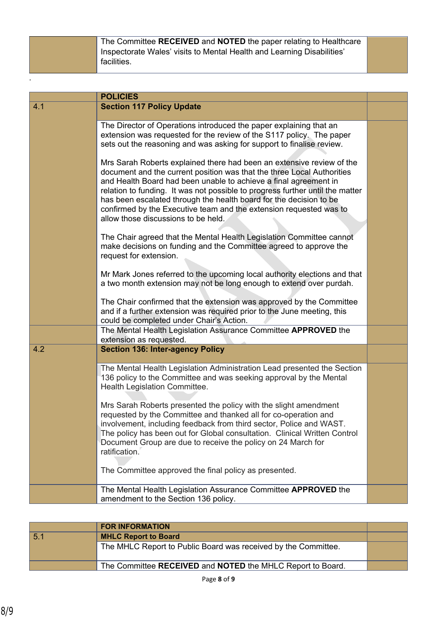The Committee **RECEIVED** and **NOTED** the paper relating to Healthcare Inspectorate Wales' visits to Mental Health and Learning Disabilities' facilities.

|     | <b>POLICIES</b>                                                                                                                                                                                                                                                                                                                                                                                                                                                                         |  |
|-----|-----------------------------------------------------------------------------------------------------------------------------------------------------------------------------------------------------------------------------------------------------------------------------------------------------------------------------------------------------------------------------------------------------------------------------------------------------------------------------------------|--|
| 4.1 | <b>Section 117 Policy Update</b>                                                                                                                                                                                                                                                                                                                                                                                                                                                        |  |
|     | The Director of Operations introduced the paper explaining that an<br>extension was requested for the review of the S117 policy. The paper<br>sets out the reasoning and was asking for support to finalise review.                                                                                                                                                                                                                                                                     |  |
|     | Mrs Sarah Roberts explained there had been an extensive review of the<br>document and the current position was that the three Local Authorities<br>and Health Board had been unable to achieve a final agreement in<br>relation to funding. It was not possible to progress further until the matter<br>has been escalated through the health board for the decision to be<br>confirmed by the Executive team and the extension requested was to<br>allow those discussions to be held. |  |
|     | The Chair agreed that the Mental Health Legislation Committee cannot<br>make decisions on funding and the Committee agreed to approve the<br>request for extension.                                                                                                                                                                                                                                                                                                                     |  |
|     | Mr Mark Jones referred to the upcoming local authority elections and that<br>a two month extension may not be long enough to extend over purdah.                                                                                                                                                                                                                                                                                                                                        |  |
|     | The Chair confirmed that the extension was approved by the Committee<br>and if a further extension was required prior to the June meeting, this<br>could be completed under Chair's Action.                                                                                                                                                                                                                                                                                             |  |
|     | The Mental Health Legislation Assurance Committee APPROVED the<br>extension as requested.                                                                                                                                                                                                                                                                                                                                                                                               |  |
| 4.2 | <b>Section 136: Inter-agency Policy</b>                                                                                                                                                                                                                                                                                                                                                                                                                                                 |  |
|     | The Mental Health Legislation Administration Lead presented the Section<br>136 policy to the Committee and was seeking approval by the Mental<br>Health Legislation Committee.                                                                                                                                                                                                                                                                                                          |  |
|     | Mrs Sarah Roberts presented the policy with the slight amendment<br>requested by the Committee and thanked all for co-operation and<br>involvement, including feedback from third sector, Police and WAST.<br>The policy has been out for Global consultation. Clinical Written Control<br>Document Group are due to receive the policy on 24 March for<br>ratification.                                                                                                                |  |
|     | The Committee approved the final policy as presented.                                                                                                                                                                                                                                                                                                                                                                                                                                   |  |
|     | The Mental Health Legislation Assurance Committee APPROVED the<br>amendment to the Section 136 policy.                                                                                                                                                                                                                                                                                                                                                                                  |  |

| <b>FOR INFORMATION</b>                                         |  |
|----------------------------------------------------------------|--|
| 5.1<br><b>MHLC Report to Board</b>                             |  |
| The MHLC Report to Public Board was received by the Committee. |  |
| The Committee RECEIVED and NOTED the MHLC Report to Board.     |  |

.